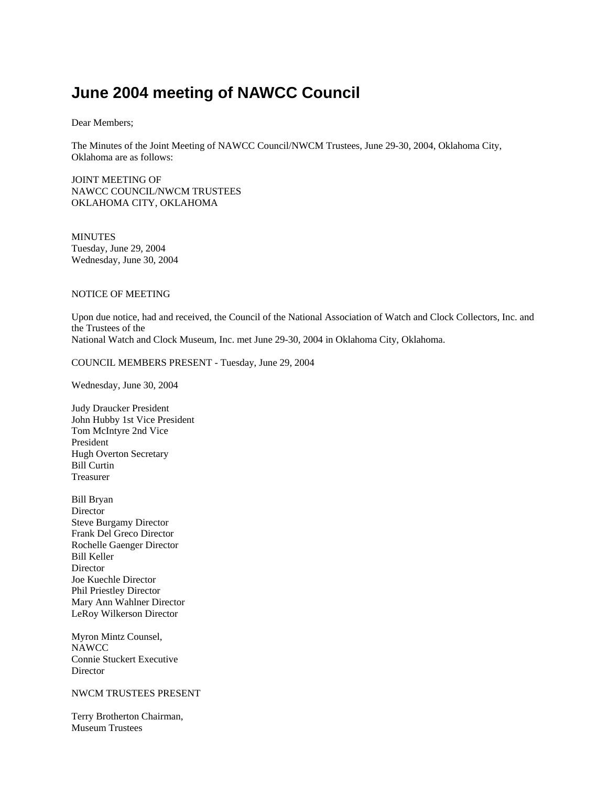# **June 2004 meeting of NAWCC Council**

Dear Members;

The Minutes of the Joint Meeting of NAWCC Council/NWCM Trustees, June 29-30, 2004, Oklahoma City, Oklahoma are as follows:

JOINT MEETING OF NAWCC COUNCIL/NWCM TRUSTEES OKLAHOMA CITY, OKLAHOMA

**MINUTES** Tuesday, June 29, 2004 Wednesday, June 30, 2004

# NOTICE OF MEETING

Upon due notice, had and received, the Council of the National Association of Watch and Clock Collectors, Inc. and the Trustees of the National Watch and Clock Museum, Inc. met June 29-30, 2004 in Oklahoma City, Oklahoma.

COUNCIL MEMBERS PRESENT - Tuesday, June 29, 2004

Wednesday, June 30, 2004

Judy Draucker President John Hubby 1st Vice President Tom McIntyre 2nd Vice President Hugh Overton Secretary Bill Curtin Treasurer

Bill Bryan **Director** Steve Burgamy Director Frank Del Greco Director Rochelle Gaenger Director Bill Keller Director Joe Kuechle Director Phil Priestley Director Mary Ann Wahlner Director LeRoy Wilkerson Director

Myron Mintz Counsel, NAWCC Connie Stuckert Executive Director

# NWCM TRUSTEES PRESENT

Terry Brotherton Chairman, Museum Trustees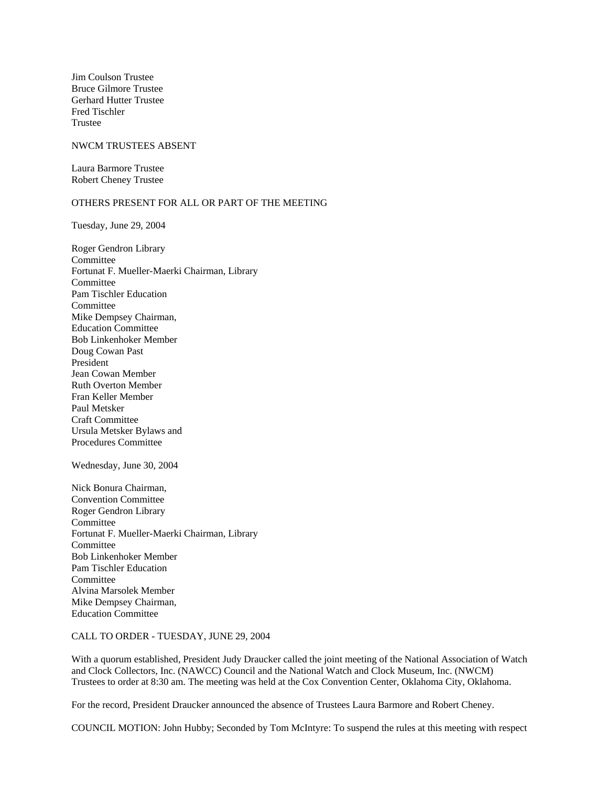Jim Coulson Trustee Bruce Gilmore Trustee Gerhard Hutter Trustee Fred Tischler Trustee

### NWCM TRUSTEES ABSENT

Laura Barmore Trustee Robert Cheney Trustee

# OTHERS PRESENT FOR ALL OR PART OF THE MEETING

Tuesday, June 29, 2004

Roger Gendron Library Committee Fortunat F. Mueller-Maerki Chairman, Library Committee Pam Tischler Education Committee Mike Dempsey Chairman, Education Committee Bob Linkenhoker Member Doug Cowan Past President Jean Cowan Member Ruth Overton Member Fran Keller Member Paul Metsker Craft Committee Ursula Metsker Bylaws and Procedures Committee

Wednesday, June 30, 2004

Nick Bonura Chairman, Convention Committee Roger Gendron Library Committee Fortunat F. Mueller-Maerki Chairman, Library Committee Bob Linkenhoker Member Pam Tischler Education Committee Alvina Marsolek Member Mike Dempsey Chairman, Education Committee

#### CALL TO ORDER - TUESDAY, JUNE 29, 2004

With a quorum established, President Judy Draucker called the joint meeting of the National Association of Watch and Clock Collectors, Inc. (NAWCC) Council and the National Watch and Clock Museum, Inc. (NWCM) Trustees to order at 8:30 am. The meeting was held at the Cox Convention Center, Oklahoma City, Oklahoma.

For the record, President Draucker announced the absence of Trustees Laura Barmore and Robert Cheney.

COUNCIL MOTION: John Hubby; Seconded by Tom McIntyre: To suspend the rules at this meeting with respect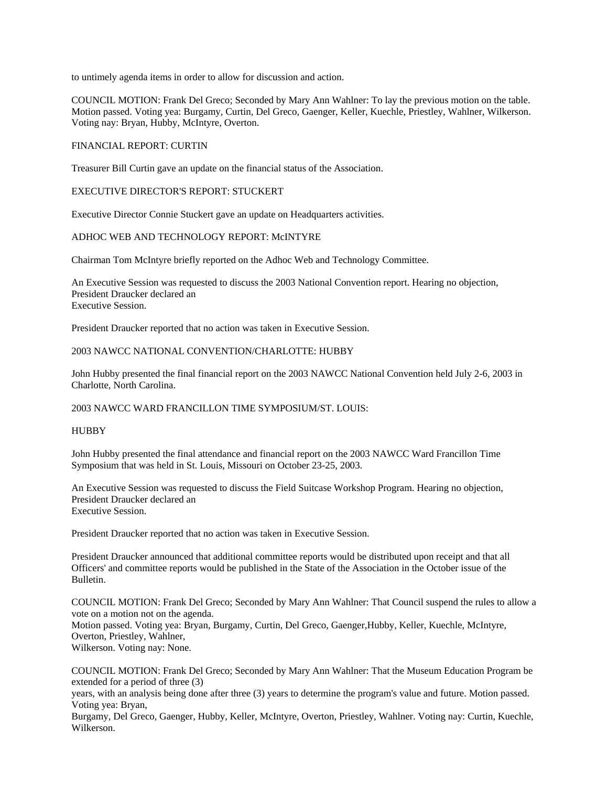to untimely agenda items in order to allow for discussion and action.

COUNCIL MOTION: Frank Del Greco; Seconded by Mary Ann Wahlner: To lay the previous motion on the table. Motion passed. Voting yea: Burgamy, Curtin, Del Greco, Gaenger, Keller, Kuechle, Priestley, Wahlner, Wilkerson. Voting nay: Bryan, Hubby, McIntyre, Overton.

## FINANCIAL REPORT: CURTIN

Treasurer Bill Curtin gave an update on the financial status of the Association.

## EXECUTIVE DIRECTOR'S REPORT: STUCKERT

Executive Director Connie Stuckert gave an update on Headquarters activities.

## ADHOC WEB AND TECHNOLOGY REPORT: McINTYRE

Chairman Tom McIntyre briefly reported on the Adhoc Web and Technology Committee.

An Executive Session was requested to discuss the 2003 National Convention report. Hearing no objection, President Draucker declared an Executive Session.

President Draucker reported that no action was taken in Executive Session.

## 2003 NAWCC NATIONAL CONVENTION/CHARLOTTE: HUBBY

John Hubby presented the final financial report on the 2003 NAWCC National Convention held July 2-6, 2003 in Charlotte, North Carolina.

#### 2003 NAWCC WARD FRANCILLON TIME SYMPOSIUM/ST. LOUIS:

#### HUBBY

John Hubby presented the final attendance and financial report on the 2003 NAWCC Ward Francillon Time Symposium that was held in St. Louis, Missouri on October 23-25, 2003.

An Executive Session was requested to discuss the Field Suitcase Workshop Program. Hearing no objection, President Draucker declared an Executive Session.

President Draucker reported that no action was taken in Executive Session.

President Draucker announced that additional committee reports would be distributed upon receipt and that all Officers' and committee reports would be published in the State of the Association in the October issue of the Bulletin.

COUNCIL MOTION: Frank Del Greco; Seconded by Mary Ann Wahlner: That Council suspend the rules to allow a vote on a motion not on the agenda.

Motion passed. Voting yea: Bryan, Burgamy, Curtin, Del Greco, Gaenger,Hubby, Keller, Kuechle, McIntyre, Overton, Priestley, Wahlner,

Wilkerson. Voting nay: None.

COUNCIL MOTION: Frank Del Greco; Seconded by Mary Ann Wahlner: That the Museum Education Program be extended for a period of three (3)

years, with an analysis being done after three (3) years to determine the program's value and future. Motion passed. Voting yea: Bryan,

Burgamy, Del Greco, Gaenger, Hubby, Keller, McIntyre, Overton, Priestley, Wahlner. Voting nay: Curtin, Kuechle, Wilkerson.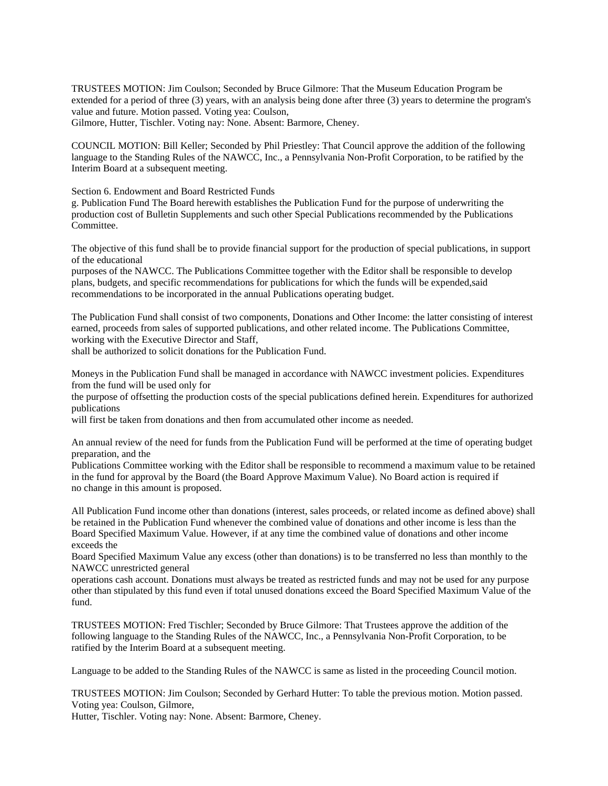TRUSTEES MOTION: Jim Coulson; Seconded by Bruce Gilmore: That the Museum Education Program be extended for a period of three (3) years, with an analysis being done after three (3) years to determine the program's value and future. Motion passed. Voting yea: Coulson,

Gilmore, Hutter, Tischler. Voting nay: None. Absent: Barmore, Cheney.

COUNCIL MOTION: Bill Keller; Seconded by Phil Priestley: That Council approve the addition of the following language to the Standing Rules of the NAWCC, Inc., a Pennsylvania Non-Profit Corporation, to be ratified by the Interim Board at a subsequent meeting.

Section 6. Endowment and Board Restricted Funds

g. Publication Fund The Board herewith establishes the Publication Fund for the purpose of underwriting the production cost of Bulletin Supplements and such other Special Publications recommended by the Publications Committee.

The objective of this fund shall be to provide financial support for the production of special publications, in support of the educational

purposes of the NAWCC. The Publications Committee together with the Editor shall be responsible to develop plans, budgets, and specific recommendations for publications for which the funds will be expended,said recommendations to be incorporated in the annual Publications operating budget.

The Publication Fund shall consist of two components, Donations and Other Income: the latter consisting of interest earned, proceeds from sales of supported publications, and other related income. The Publications Committee, working with the Executive Director and Staff,

shall be authorized to solicit donations for the Publication Fund.

Moneys in the Publication Fund shall be managed in accordance with NAWCC investment policies. Expenditures from the fund will be used only for

the purpose of offsetting the production costs of the special publications defined herein. Expenditures for authorized publications

will first be taken from donations and then from accumulated other income as needed.

An annual review of the need for funds from the Publication Fund will be performed at the time of operating budget preparation, and the

Publications Committee working with the Editor shall be responsible to recommend a maximum value to be retained in the fund for approval by the Board (the Board Approve Maximum Value). No Board action is required if no change in this amount is proposed.

All Publication Fund income other than donations (interest, sales proceeds, or related income as defined above) shall be retained in the Publication Fund whenever the combined value of donations and other income is less than the Board Specified Maximum Value. However, if at any time the combined value of donations and other income exceeds the

Board Specified Maximum Value any excess (other than donations) is to be transferred no less than monthly to the NAWCC unrestricted general

operations cash account. Donations must always be treated as restricted funds and may not be used for any purpose other than stipulated by this fund even if total unused donations exceed the Board Specified Maximum Value of the fund.

TRUSTEES MOTION: Fred Tischler; Seconded by Bruce Gilmore: That Trustees approve the addition of the following language to the Standing Rules of the NAWCC, Inc., a Pennsylvania Non-Profit Corporation, to be ratified by the Interim Board at a subsequent meeting.

Language to be added to the Standing Rules of the NAWCC is same as listed in the proceeding Council motion.

TRUSTEES MOTION: Jim Coulson; Seconded by Gerhard Hutter: To table the previous motion. Motion passed. Voting yea: Coulson, Gilmore,

Hutter, Tischler. Voting nay: None. Absent: Barmore, Cheney.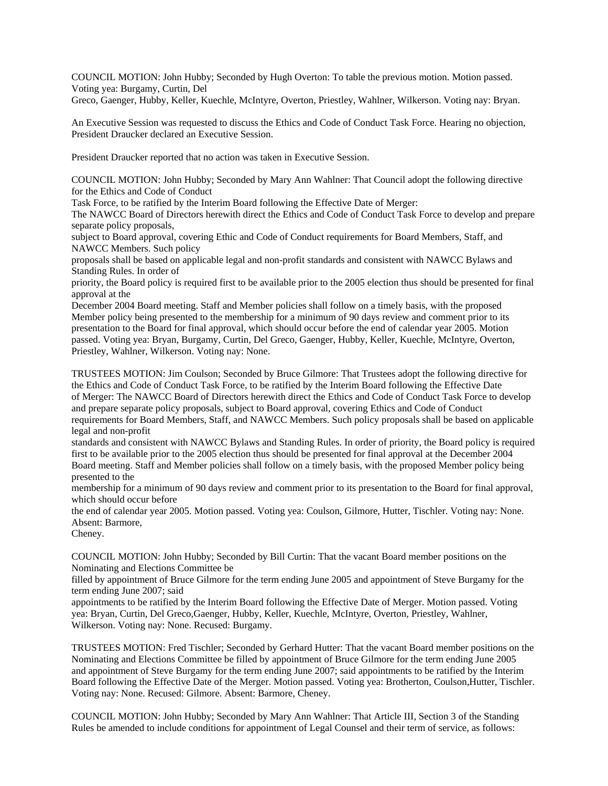COUNCIL MOTION: John Hubby; Seconded by Hugh Overton: To table the previous motion. Motion passed. Voting yea: Burgamy, Curtin, Del

Greco, Gaenger, Hubby, Keller, Kuechle, McIntyre, Overton, Priestley, Wahlner, Wilkerson. Voting nay: Bryan.

An Executive Session was requested to discuss the Ethics and Code of Conduct Task Force. Hearing no objection, President Draucker declared an Executive Session.

President Draucker reported that no action was taken in Executive Session.

COUNCIL MOTION: John Hubby; Seconded by Mary Ann Wahlner: That Council adopt the following directive for the Ethics and Code of Conduct

Task Force, to be ratified by the Interim Board following the Effective Date of Merger:

The NAWCC Board of Directors herewith direct the Ethics and Code of Conduct Task Force to develop and prepare separate policy proposals,

subject to Board approval, covering Ethic and Code of Conduct requirements for Board Members, Staff, and NAWCC Members. Such policy

proposals shall be based on applicable legal and non-profit standards and consistent with NAWCC Bylaws and Standing Rules. In order of

priority, the Board policy is required first to be available prior to the 2005 election thus should be presented for final approval at the

December 2004 Board meeting. Staff and Member policies shall follow on a timely basis, with the proposed Member policy being presented to the membership for a minimum of 90 days review and comment prior to its presentation to the Board for final approval, which should occur before the end of calendar year 2005. Motion passed. Voting yea: Bryan, Burgamy, Curtin, Del Greco, Gaenger, Hubby, Keller, Kuechle, McIntyre, Overton, Priestley, Wahlner, Wilkerson. Voting nay: None.

TRUSTEES MOTION: Jim Coulson; Seconded by Bruce Gilmore: That Trustees adopt the following directive for the Ethics and Code of Conduct Task Force, to be ratified by the Interim Board following the Effective Date of Merger: The NAWCC Board of Directors herewith direct the Ethics and Code of Conduct Task Force to develop and prepare separate policy proposals, subject to Board approval, covering Ethics and Code of Conduct requirements for Board Members, Staff, and NAWCC Members. Such policy proposals shall be based on applicable legal and non-profit

standards and consistent with NAWCC Bylaws and Standing Rules. In order of priority, the Board policy is required first to be available prior to the 2005 election thus should be presented for final approval at the December 2004 Board meeting. Staff and Member policies shall follow on a timely basis, with the proposed Member policy being presented to the

membership for a minimum of 90 days review and comment prior to its presentation to the Board for final approval, which should occur before

the end of calendar year 2005. Motion passed. Voting yea: Coulson, Gilmore, Hutter, Tischler. Voting nay: None. Absent: Barmore,

Cheney.

COUNCIL MOTION: John Hubby; Seconded by Bill Curtin: That the vacant Board member positions on the Nominating and Elections Committee be

filled by appointment of Bruce Gilmore for the term ending June 2005 and appointment of Steve Burgamy for the term ending June 2007; said

appointments to be ratified by the Interim Board following the Effective Date of Merger. Motion passed. Voting yea: Bryan, Curtin, Del Greco,Gaenger, Hubby, Keller, Kuechle, McIntyre, Overton, Priestley, Wahlner, Wilkerson. Voting nay: None. Recused: Burgamy.

TRUSTEES MOTION: Fred Tischler; Seconded by Gerhard Hutter: That the vacant Board member positions on the Nominating and Elections Committee be filled by appointment of Bruce Gilmore for the term ending June 2005 and appointment of Steve Burgamy for the term ending June 2007; said appointments to be ratified by the Interim Board following the Effective Date of the Merger. Motion passed. Voting yea: Brotherton, Coulson,Hutter, Tischler. Voting nay: None. Recused: Gilmore. Absent: Barmore, Cheney.

COUNCIL MOTION: John Hubby; Seconded by Mary Ann Wahlner: That Article III, Section 3 of the Standing Rules be amended to include conditions for appointment of Legal Counsel and their term of service, as follows: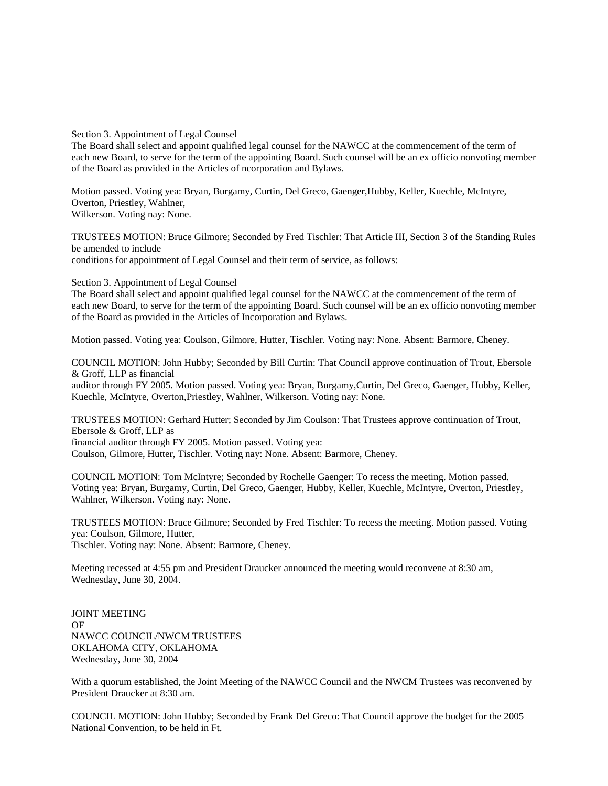Section 3. Appointment of Legal Counsel

The Board shall select and appoint qualified legal counsel for the NAWCC at the commencement of the term of each new Board, to serve for the term of the appointing Board. Such counsel will be an ex officio nonvoting member of the Board as provided in the Articles of ncorporation and Bylaws.

Motion passed. Voting yea: Bryan, Burgamy, Curtin, Del Greco, Gaenger,Hubby, Keller, Kuechle, McIntyre, Overton, Priestley, Wahlner, Wilkerson. Voting nay: None.

TRUSTEES MOTION: Bruce Gilmore; Seconded by Fred Tischler: That Article III, Section 3 of the Standing Rules be amended to include conditions for appointment of Legal Counsel and their term of service, as follows:

Section 3. Appointment of Legal Counsel

The Board shall select and appoint qualified legal counsel for the NAWCC at the commencement of the term of each new Board, to serve for the term of the appointing Board. Such counsel will be an ex officio nonvoting member of the Board as provided in the Articles of Incorporation and Bylaws.

Motion passed. Voting yea: Coulson, Gilmore, Hutter, Tischler. Voting nay: None. Absent: Barmore, Cheney.

COUNCIL MOTION: John Hubby; Seconded by Bill Curtin: That Council approve continuation of Trout, Ebersole & Groff, LLP as financial

auditor through FY 2005. Motion passed. Voting yea: Bryan, Burgamy,Curtin, Del Greco, Gaenger, Hubby, Keller, Kuechle, McIntyre, Overton,Priestley, Wahlner, Wilkerson. Voting nay: None.

TRUSTEES MOTION: Gerhard Hutter; Seconded by Jim Coulson: That Trustees approve continuation of Trout, Ebersole & Groff, LLP as financial auditor through FY 2005. Motion passed. Voting yea:

Coulson, Gilmore, Hutter, Tischler. Voting nay: None. Absent: Barmore, Cheney.

COUNCIL MOTION: Tom McIntyre; Seconded by Rochelle Gaenger: To recess the meeting. Motion passed. Voting yea: Bryan, Burgamy, Curtin, Del Greco, Gaenger, Hubby, Keller, Kuechle, McIntyre, Overton, Priestley, Wahlner, Wilkerson. Voting nay: None.

TRUSTEES MOTION: Bruce Gilmore; Seconded by Fred Tischler: To recess the meeting. Motion passed. Voting yea: Coulson, Gilmore, Hutter,

Tischler. Voting nay: None. Absent: Barmore, Cheney.

Meeting recessed at 4:55 pm and President Draucker announced the meeting would reconvene at 8:30 am, Wednesday, June 30, 2004.

JOINT MEETING OF NAWCC COUNCIL/NWCM TRUSTEES OKLAHOMA CITY, OKLAHOMA Wednesday, June 30, 2004

With a quorum established, the Joint Meeting of the NAWCC Council and the NWCM Trustees was reconvened by President Draucker at 8:30 am.

COUNCIL MOTION: John Hubby; Seconded by Frank Del Greco: That Council approve the budget for the 2005 National Convention, to be held in Ft.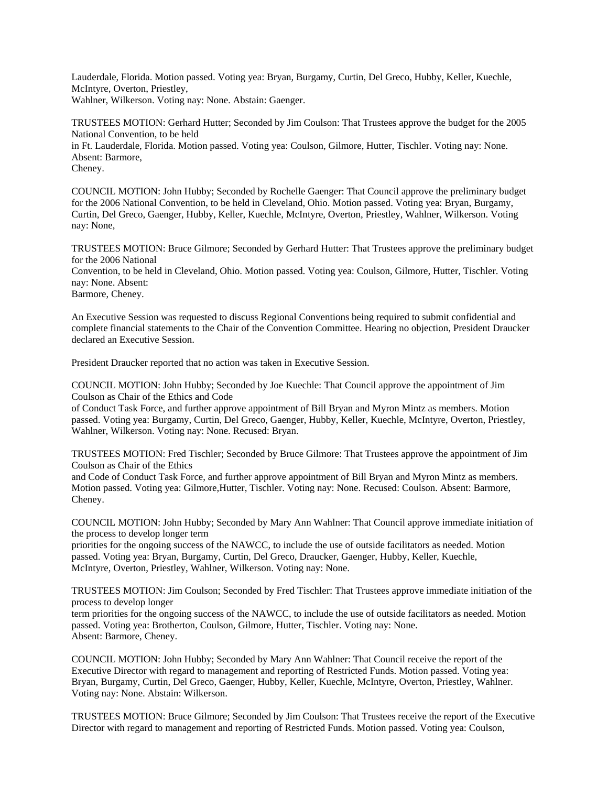Lauderdale, Florida. Motion passed. Voting yea: Bryan, Burgamy, Curtin, Del Greco, Hubby, Keller, Kuechle, McIntyre, Overton, Priestley, Wahlner, Wilkerson. Voting nay: None. Abstain: Gaenger.

TRUSTEES MOTION: Gerhard Hutter; Seconded by Jim Coulson: That Trustees approve the budget for the 2005 National Convention, to be held

in Ft. Lauderdale, Florida. Motion passed. Voting yea: Coulson, Gilmore, Hutter, Tischler. Voting nay: None. Absent: Barmore,

Cheney.

COUNCIL MOTION: John Hubby; Seconded by Rochelle Gaenger: That Council approve the preliminary budget for the 2006 National Convention, to be held in Cleveland, Ohio. Motion passed. Voting yea: Bryan, Burgamy, Curtin, Del Greco, Gaenger, Hubby, Keller, Kuechle, McIntyre, Overton, Priestley, Wahlner, Wilkerson. Voting nay: None,

TRUSTEES MOTION: Bruce Gilmore; Seconded by Gerhard Hutter: That Trustees approve the preliminary budget for the 2006 National

Convention, to be held in Cleveland, Ohio. Motion passed. Voting yea: Coulson, Gilmore, Hutter, Tischler. Voting nay: None. Absent:

Barmore, Cheney.

An Executive Session was requested to discuss Regional Conventions being required to submit confidential and complete financial statements to the Chair of the Convention Committee. Hearing no objection, President Draucker declared an Executive Session.

President Draucker reported that no action was taken in Executive Session.

COUNCIL MOTION: John Hubby; Seconded by Joe Kuechle: That Council approve the appointment of Jim Coulson as Chair of the Ethics and Code

of Conduct Task Force, and further approve appointment of Bill Bryan and Myron Mintz as members. Motion passed. Voting yea: Burgamy, Curtin, Del Greco, Gaenger, Hubby, Keller, Kuechle, McIntyre, Overton, Priestley, Wahlner, Wilkerson. Voting nay: None. Recused: Bryan.

TRUSTEES MOTION: Fred Tischler; Seconded by Bruce Gilmore: That Trustees approve the appointment of Jim Coulson as Chair of the Ethics

and Code of Conduct Task Force, and further approve appointment of Bill Bryan and Myron Mintz as members. Motion passed. Voting yea: Gilmore,Hutter, Tischler. Voting nay: None. Recused: Coulson. Absent: Barmore, Cheney.

COUNCIL MOTION: John Hubby; Seconded by Mary Ann Wahlner: That Council approve immediate initiation of the process to develop longer term

priorities for the ongoing success of the NAWCC, to include the use of outside facilitators as needed. Motion passed. Voting yea: Bryan, Burgamy, Curtin, Del Greco, Draucker, Gaenger, Hubby, Keller, Kuechle, McIntyre, Overton, Priestley, Wahlner, Wilkerson. Voting nay: None.

TRUSTEES MOTION: Jim Coulson; Seconded by Fred Tischler: That Trustees approve immediate initiation of the process to develop longer

term priorities for the ongoing success of the NAWCC, to include the use of outside facilitators as needed. Motion passed. Voting yea: Brotherton, Coulson, Gilmore, Hutter, Tischler. Voting nay: None. Absent: Barmore, Cheney.

COUNCIL MOTION: John Hubby; Seconded by Mary Ann Wahlner: That Council receive the report of the Executive Director with regard to management and reporting of Restricted Funds. Motion passed. Voting yea: Bryan, Burgamy, Curtin, Del Greco, Gaenger, Hubby, Keller, Kuechle, McIntyre, Overton, Priestley, Wahlner. Voting nay: None. Abstain: Wilkerson.

TRUSTEES MOTION: Bruce Gilmore; Seconded by Jim Coulson: That Trustees receive the report of the Executive Director with regard to management and reporting of Restricted Funds. Motion passed. Voting yea: Coulson,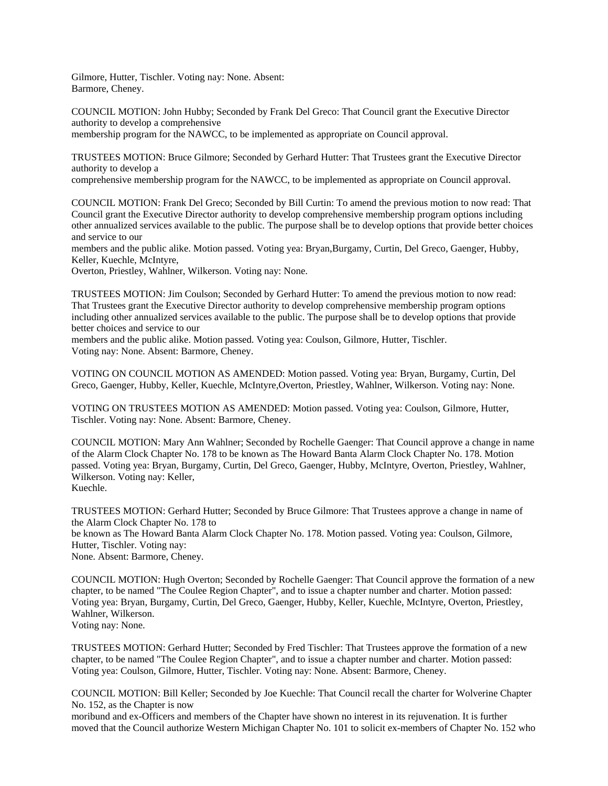Gilmore, Hutter, Tischler. Voting nay: None. Absent: Barmore, Cheney.

COUNCIL MOTION: John Hubby; Seconded by Frank Del Greco: That Council grant the Executive Director authority to develop a comprehensive

membership program for the NAWCC, to be implemented as appropriate on Council approval.

TRUSTEES MOTION: Bruce Gilmore; Seconded by Gerhard Hutter: That Trustees grant the Executive Director authority to develop a

comprehensive membership program for the NAWCC, to be implemented as appropriate on Council approval.

COUNCIL MOTION: Frank Del Greco; Seconded by Bill Curtin: To amend the previous motion to now read: That Council grant the Executive Director authority to develop comprehensive membership program options including other annualized services available to the public. The purpose shall be to develop options that provide better choices and service to our

members and the public alike. Motion passed. Voting yea: Bryan,Burgamy, Curtin, Del Greco, Gaenger, Hubby, Keller, Kuechle, McIntyre,

Overton, Priestley, Wahlner, Wilkerson. Voting nay: None.

TRUSTEES MOTION: Jim Coulson; Seconded by Gerhard Hutter: To amend the previous motion to now read: That Trustees grant the Executive Director authority to develop comprehensive membership program options including other annualized services available to the public. The purpose shall be to develop options that provide better choices and service to our

members and the public alike. Motion passed. Voting yea: Coulson, Gilmore, Hutter, Tischler. Voting nay: None. Absent: Barmore, Cheney.

VOTING ON COUNCIL MOTION AS AMENDED: Motion passed. Voting yea: Bryan, Burgamy, Curtin, Del Greco, Gaenger, Hubby, Keller, Kuechle, McIntyre,Overton, Priestley, Wahlner, Wilkerson. Voting nay: None.

VOTING ON TRUSTEES MOTION AS AMENDED: Motion passed. Voting yea: Coulson, Gilmore, Hutter, Tischler. Voting nay: None. Absent: Barmore, Cheney.

COUNCIL MOTION: Mary Ann Wahlner; Seconded by Rochelle Gaenger: That Council approve a change in name of the Alarm Clock Chapter No. 178 to be known as The Howard Banta Alarm Clock Chapter No. 178. Motion passed. Voting yea: Bryan, Burgamy, Curtin, Del Greco, Gaenger, Hubby, McIntyre, Overton, Priestley, Wahlner, Wilkerson. Voting nay: Keller, Kuechle.

TRUSTEES MOTION: Gerhard Hutter; Seconded by Bruce Gilmore: That Trustees approve a change in name of the Alarm Clock Chapter No. 178 to

be known as The Howard Banta Alarm Clock Chapter No. 178. Motion passed. Voting yea: Coulson, Gilmore, Hutter, Tischler. Voting nay:

None. Absent: Barmore, Cheney.

COUNCIL MOTION: Hugh Overton; Seconded by Rochelle Gaenger: That Council approve the formation of a new chapter, to be named "The Coulee Region Chapter", and to issue a chapter number and charter. Motion passed: Voting yea: Bryan, Burgamy, Curtin, Del Greco, Gaenger, Hubby, Keller, Kuechle, McIntyre, Overton, Priestley, Wahlner, Wilkerson.

Voting nay: None.

TRUSTEES MOTION: Gerhard Hutter; Seconded by Fred Tischler: That Trustees approve the formation of a new chapter, to be named "The Coulee Region Chapter", and to issue a chapter number and charter. Motion passed: Voting yea: Coulson, Gilmore, Hutter, Tischler. Voting nay: None. Absent: Barmore, Cheney.

COUNCIL MOTION: Bill Keller; Seconded by Joe Kuechle: That Council recall the charter for Wolverine Chapter No. 152, as the Chapter is now

moribund and ex-Officers and members of the Chapter have shown no interest in its rejuvenation. It is further moved that the Council authorize Western Michigan Chapter No. 101 to solicit ex-members of Chapter No. 152 who